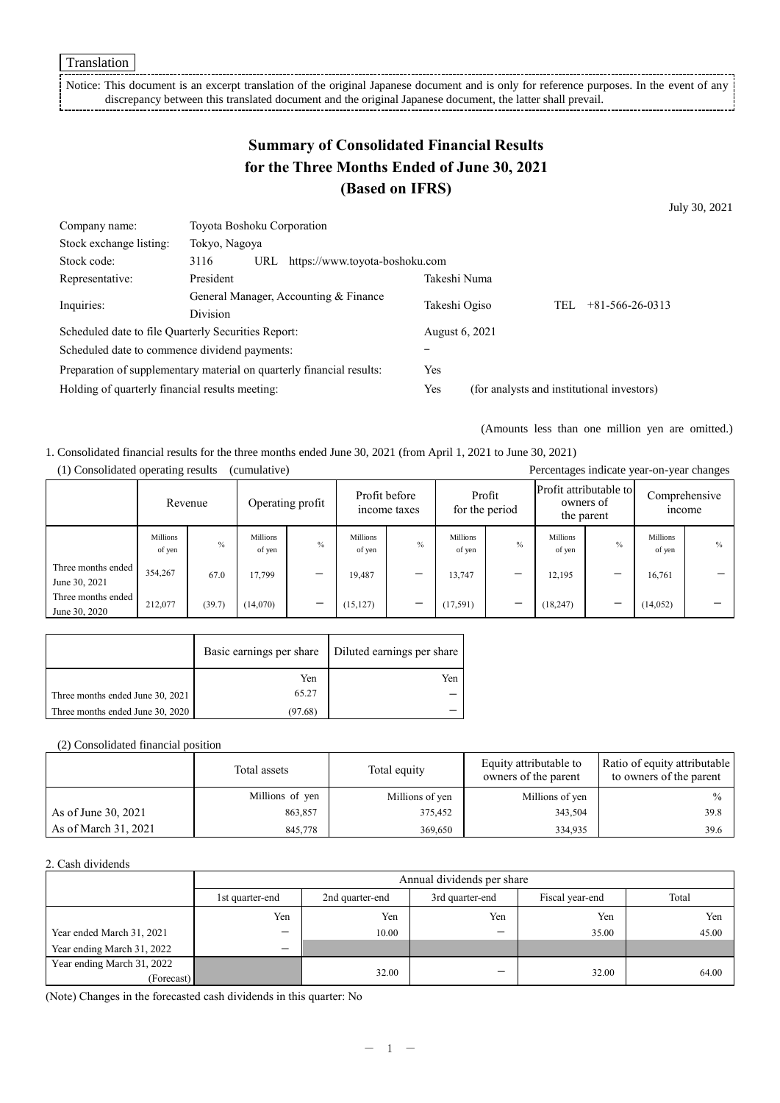Translation

Notice: This document is an excerpt translation of the original Japanese document and is only for reference purposes. In the event of any discrepancy between this translated document and the original Japanese document, the latter shall prevail.

# **Summary of Consolidated Financial Results for the Three Months Ended of June 30, 2021 (Based on IFRS)**

July 30, 2021

| Company name:                                                         | Toyota Boshoku Corporation                               |                |                                |                                            |  |                   |  |
|-----------------------------------------------------------------------|----------------------------------------------------------|----------------|--------------------------------|--------------------------------------------|--|-------------------|--|
| Stock exchange listing:                                               | Tokyo, Nagoya                                            |                |                                |                                            |  |                   |  |
| Stock code:                                                           | 3116                                                     | URL            | https://www.toyota-boshoku.com |                                            |  |                   |  |
| Representative:                                                       | President                                                |                |                                | Takeshi Numa                               |  |                   |  |
| Inquiries:                                                            | General Manager, Accounting & Finance<br><b>Division</b> |                | Takeshi Ogiso<br>TEL           |                                            |  | $+81-566-26-0313$ |  |
|                                                                       |                                                          |                |                                |                                            |  |                   |  |
| Scheduled date to file Quarterly Securities Report:                   |                                                          | August 6, 2021 |                                |                                            |  |                   |  |
| Scheduled date to commence dividend payments:                         |                                                          |                |                                |                                            |  |                   |  |
| Preparation of supplementary material on quarterly financial results: |                                                          | Yes            |                                |                                            |  |                   |  |
| Holding of quarterly financial results meeting:                       |                                                          |                | Yes                            | (for analysts and institutional investors) |  |                   |  |

(Amounts less than one million yen are omitted.)

1. Consolidated financial results for the three months ended June 30, 2021 (from April 1, 2021 to June 30, 2021) (1) Consolidated operating results (cumulative) Percentages indicate year-on-year changes

|                                     |                    | Revenue |                           | Operating profit         |                    | Profit before<br>income taxes |                    | Profit<br>for the period | Profit attributable to<br>owners of<br>the parent |      | <i>n</i> come      | Comprehensive |
|-------------------------------------|--------------------|---------|---------------------------|--------------------------|--------------------|-------------------------------|--------------------|--------------------------|---------------------------------------------------|------|--------------------|---------------|
|                                     | Millions<br>of yen | $\%$    | <b>Millions</b><br>of yen | $\%$                     | Millions<br>of yen | $\%$                          | Millions<br>of yen | $\%$                     | Millions<br>of yen                                | $\%$ | Millions<br>of yen | $\%$          |
| Three months ended<br>June 30, 2021 | 354,267            | 67.0    | 17.799                    | —                        | 19,487             | –                             | 13,747             |                          | 12,195                                            |      | 16,761             |               |
| Three months ended<br>June 30, 2020 | 212,077            | (39.7)  | (14,070)                  | $\overline{\phantom{0}}$ | (15, 127)          | -                             | (17, 591)          | -                        | (18, 247)                                         | –    | (14, 052)          | _             |

|                                  | Basic earnings per share | Diluted earnings per share |
|----------------------------------|--------------------------|----------------------------|
|                                  | Yen                      | Yen                        |
| Three months ended June 30, 2021 | 65.27                    |                            |
| Three months ended June 30, 2020 | (97.68)                  |                            |

(2) Consolidated financial position

|                      | Total assets    | Total equity    | Equity attributable to<br>owners of the parent | Ratio of equity attributable<br>to owners of the parent |
|----------------------|-----------------|-----------------|------------------------------------------------|---------------------------------------------------------|
|                      | Millions of yen | Millions of yen | Millions of yen                                | $\frac{0}{0}$                                           |
| As of June 30, 2021  | 863,857         | 375,452         | 343,504                                        | 39.8                                                    |
| As of March 31, 2021 | 845,778         | 369,650         | 334,935                                        | 39.6                                                    |

#### 2. Cash dividends

|                            | Annual dividends per share |                 |                 |                 |       |  |
|----------------------------|----------------------------|-----------------|-----------------|-----------------|-------|--|
|                            | 1st quarter-end            | 2nd quarter-end | 3rd quarter-end | Fiscal year-end | Total |  |
|                            | Yen                        | Yen             | Yen             | Yen             | Yen   |  |
| Year ended March 31, 2021  | -                          | 10.00           |                 | 35.00           | 45.00 |  |
| Year ending March 31, 2022 | -                          |                 |                 |                 |       |  |
| Year ending March 31, 2022 |                            | 32.00           | _               | 32.00           | 64.00 |  |
| (Forecast)                 |                            |                 |                 |                 |       |  |

(Note) Changes in the forecasted cash dividends in this quarter: No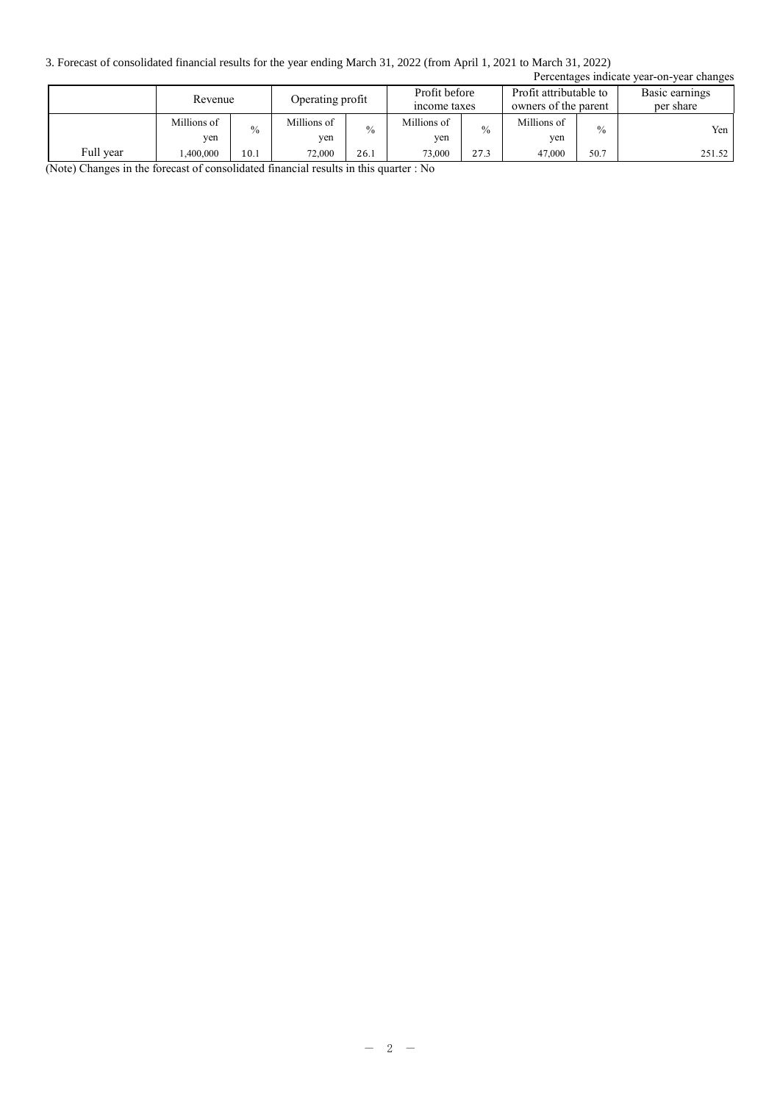3. Forecast of consolidated financial results for the year ending March 31, 2022 (from April 1, 2021 to March 31, 2022)

| Percentages indicate year-on-year changes |                    |               |                                                   |               |                    |               |                    |                                                |        |                             |
|-------------------------------------------|--------------------|---------------|---------------------------------------------------|---------------|--------------------|---------------|--------------------|------------------------------------------------|--------|-----------------------------|
|                                           | Revenue            |               | Profit before<br>Operating profit<br>income taxes |               |                    |               |                    | Profit attributable to<br>owners of the parent |        | Basic earnings<br>per share |
|                                           | Millions of<br>yen | $\frac{0}{0}$ | Millions of<br>yen                                | $\frac{0}{0}$ | Millions of<br>yen | $\frac{0}{0}$ | Millions of<br>ven | $\frac{0}{0}$                                  | Yen 1  |                             |
| Full year                                 | .400,000           | 10.1          | 72,000                                            | 26.1          | 73,000             | 27.3          | 47,000             | 50.7                                           | 251.52 |                             |

(Note) Changes in the forecast of consolidated financial results in this quarter : No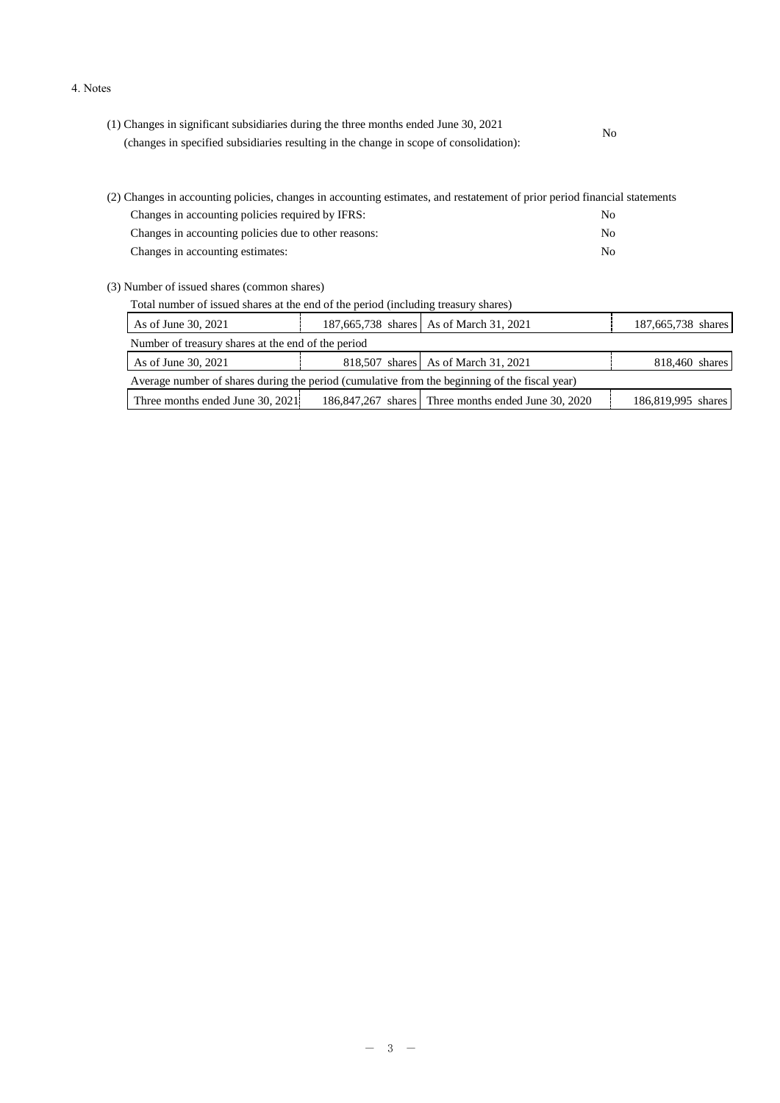#### 4. Notes

| (1) Changes in significant subsidiaries during the three months ended June 30, 2021    | No. |  |
|----------------------------------------------------------------------------------------|-----|--|
| (changes in specified subsidiaries resulting in the change in scope of consolidation): |     |  |

| (2) Changes in accounting policies, changes in accounting estimates, and restatement of prior period financial statements |     |  |  |  |
|---------------------------------------------------------------------------------------------------------------------------|-----|--|--|--|
| Changes in accounting policies required by IFRS:                                                                          | No. |  |  |  |
| Changes in accounting policies due to other reasons:                                                                      | No. |  |  |  |
| Changes in accounting estimates:                                                                                          | No. |  |  |  |

(3) Number of issued shares (common shares)

Total number of issued shares at the end of the period (including treasury shares)

| As of June 30, 2021                                                                           |  | 187,665,738 shares As of March 31, 2021             | 187,665,738 shares |  |  |  |
|-----------------------------------------------------------------------------------------------|--|-----------------------------------------------------|--------------------|--|--|--|
| Number of treasury shares at the end of the period                                            |  |                                                     |                    |  |  |  |
| As of June 30, 2021                                                                           |  | 818,507 shares As of March 31, 2021                 | 818,460 shares     |  |  |  |
| Average number of shares during the period (cumulative from the beginning of the fiscal year) |  |                                                     |                    |  |  |  |
| Three months ended June 30, 2021.                                                             |  | 186,847,267 shares Three months ended June 30, 2020 | 186,819,995 shares |  |  |  |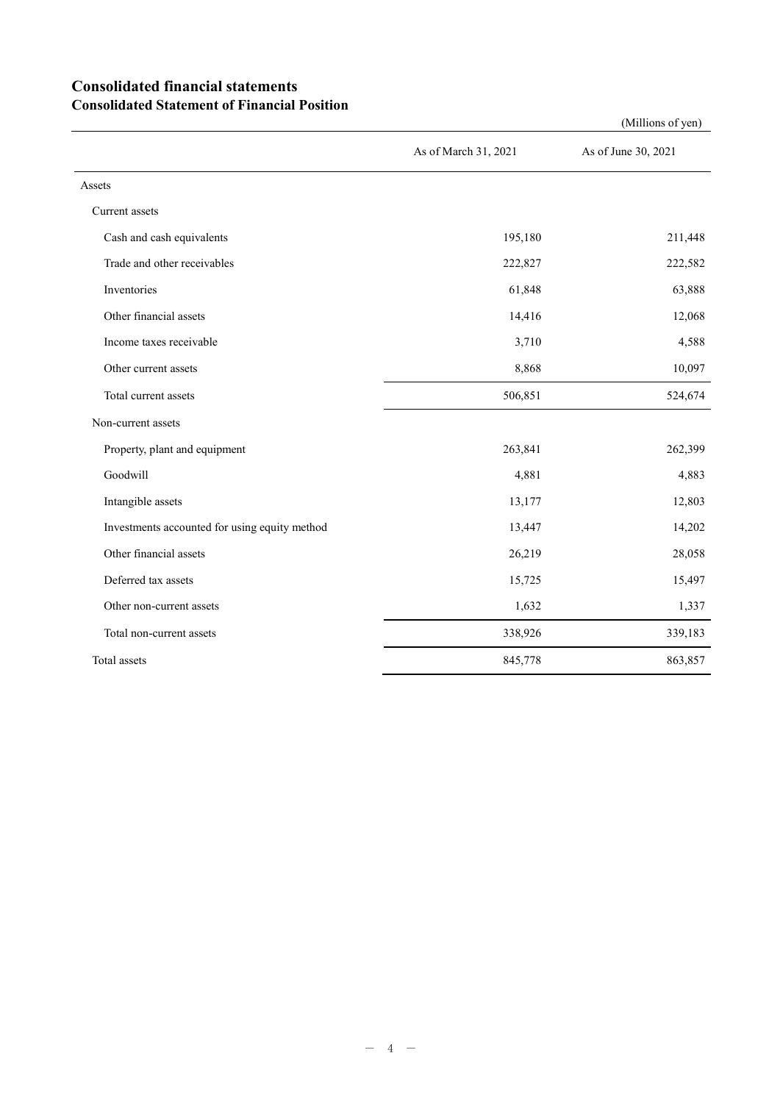## **Consolidated financial statements Consolidated Statement of Financial Position**

|                                               | As of March 31, 2021 | As of June 30, 2021 |
|-----------------------------------------------|----------------------|---------------------|
| Assets                                        |                      |                     |
| Current assets                                |                      |                     |
| Cash and cash equivalents                     | 195,180              | 211,448             |
| Trade and other receivables                   | 222,827              | 222,582             |
| Inventories                                   | 61,848               | 63,888              |
| Other financial assets                        | 14,416               | 12,068              |
| Income taxes receivable                       | 3,710                | 4,588               |
| Other current assets                          | 8,868                | 10,097              |
| Total current assets                          | 506,851              | 524,674             |
| Non-current assets                            |                      |                     |
| Property, plant and equipment                 | 263,841              | 262,399             |
| Goodwill                                      | 4,881                | 4,883               |
| Intangible assets                             | 13,177               | 12,803              |
| Investments accounted for using equity method | 13,447               | 14,202              |
| Other financial assets                        | 26,219               | 28,058              |
| Deferred tax assets                           | 15,725               | 15,497              |
| Other non-current assets                      | 1,632                | 1,337               |
| Total non-current assets                      | 338,926              | 339,183             |
| Total assets                                  | 845,778              | 863,857             |

(Millions of yen)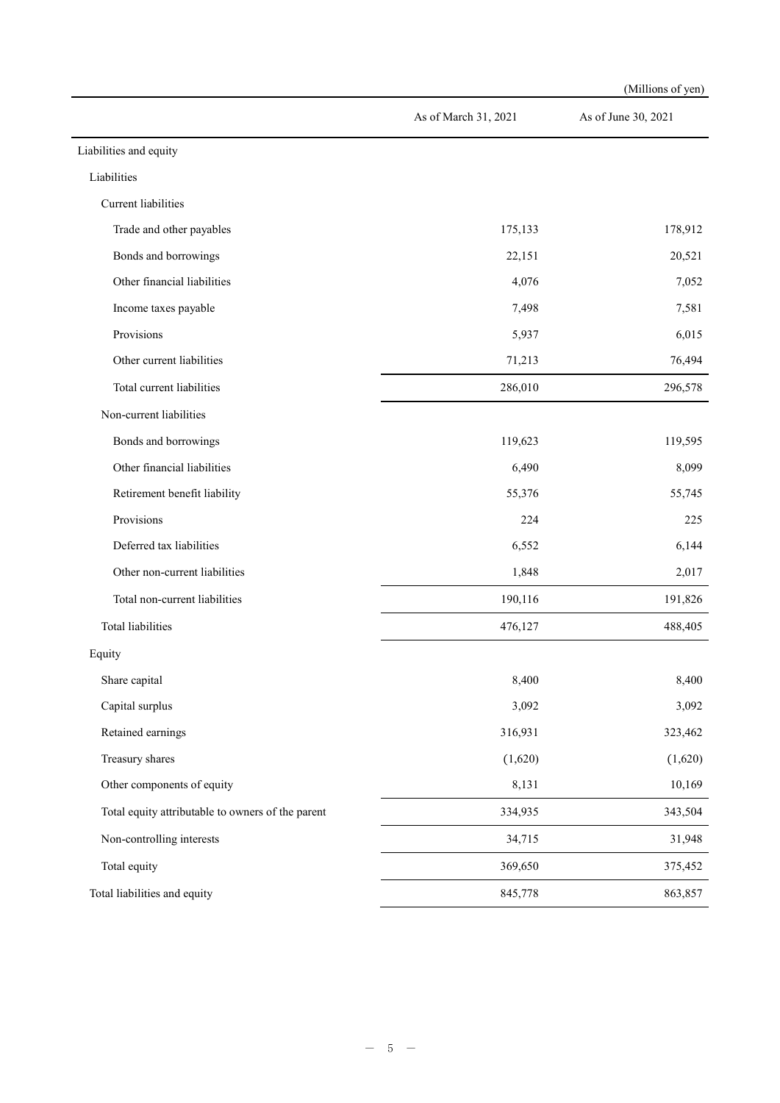|                                                   |                      | (Millions of yen)   |
|---------------------------------------------------|----------------------|---------------------|
|                                                   | As of March 31, 2021 | As of June 30, 2021 |
| Liabilities and equity                            |                      |                     |
| Liabilities                                       |                      |                     |
| Current liabilities                               |                      |                     |
| Trade and other payables                          | 175,133              | 178,912             |
| Bonds and borrowings                              | 22,151               | 20,521              |
| Other financial liabilities                       | 4,076                | 7,052               |
| Income taxes payable                              | 7,498                | 7,581               |
| Provisions                                        | 5,937                | 6,015               |
| Other current liabilities                         | 71,213               | 76,494              |
| Total current liabilities                         | 286,010              | 296,578             |
| Non-current liabilities                           |                      |                     |
| Bonds and borrowings                              | 119,623              | 119,595             |
| Other financial liabilities                       | 6,490                | 8,099               |
| Retirement benefit liability                      | 55,376               | 55,745              |
| Provisions                                        | 224                  | 225                 |
| Deferred tax liabilities                          | 6,552                | 6,144               |
| Other non-current liabilities                     | 1,848                | 2,017               |
| Total non-current liabilities                     | 190,116              | 191,826             |
| <b>Total liabilities</b>                          | 476,127              | 488,405             |
| Equity                                            |                      |                     |
| Share capital                                     | 8,400                | 8,400               |
| Capital surplus                                   | 3,092                | 3,092               |
| Retained earnings                                 | 316,931              | 323,462             |
| Treasury shares                                   | (1,620)              | (1,620)             |
| Other components of equity                        | 8,131                | 10,169              |
| Total equity attributable to owners of the parent | 334,935              | 343,504             |
| Non-controlling interests                         | 34,715               | 31,948              |
| Total equity                                      | 369,650              | 375,452             |
| Total liabilities and equity                      | 845,778              | 863,857             |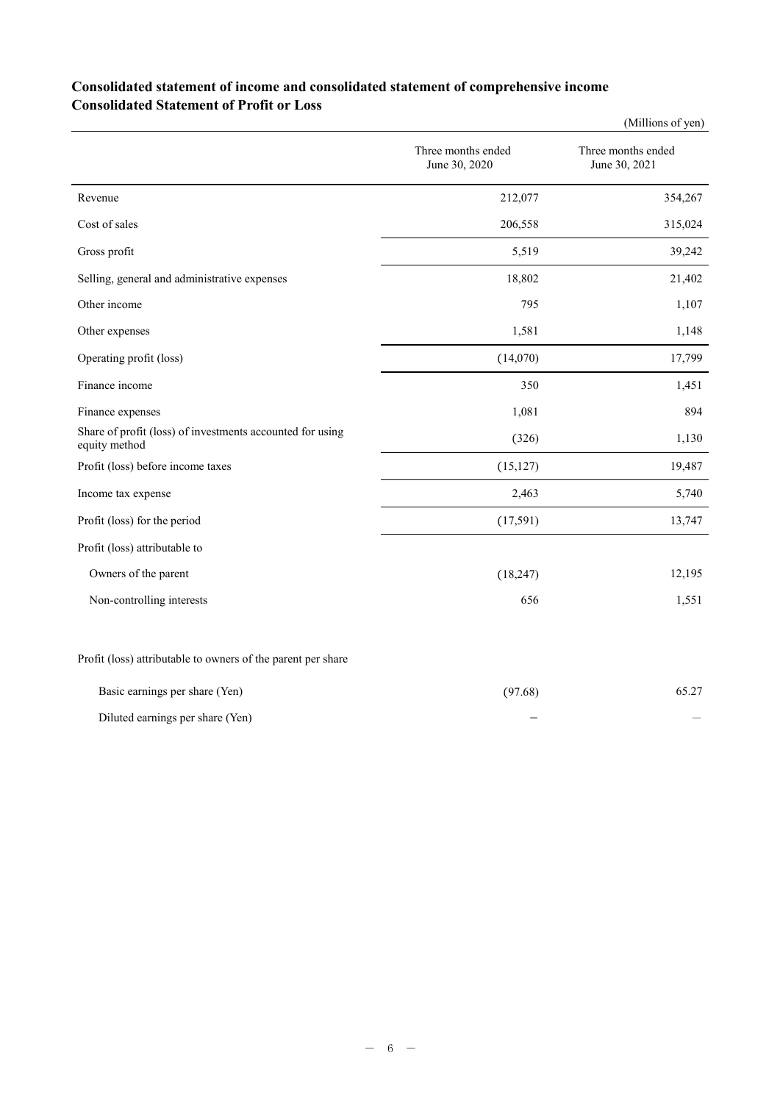## **Consolidated statement of income and consolidated statement of comprehensive income Consolidated Statement of Profit or Loss**

|                                                                            |                                     | (Millions of yen)                   |
|----------------------------------------------------------------------------|-------------------------------------|-------------------------------------|
|                                                                            | Three months ended<br>June 30, 2020 | Three months ended<br>June 30, 2021 |
| Revenue                                                                    | 212,077                             | 354,267                             |
| Cost of sales                                                              | 206,558                             | 315,024                             |
| Gross profit                                                               | 5,519                               | 39,242                              |
| Selling, general and administrative expenses                               | 18,802                              | 21,402                              |
| Other income                                                               | 795                                 | 1,107                               |
| Other expenses                                                             | 1,581                               | 1,148                               |
| Operating profit (loss)                                                    | (14,070)                            | 17,799                              |
| Finance income                                                             | 350                                 | 1,451                               |
| Finance expenses                                                           | 1,081                               | 894                                 |
| Share of profit (loss) of investments accounted for using<br>equity method | (326)                               | 1,130                               |
| Profit (loss) before income taxes                                          | (15, 127)                           | 19,487                              |
| Income tax expense                                                         | 2,463                               | 5,740                               |
| Profit (loss) for the period                                               | (17,591)                            | 13,747                              |
| Profit (loss) attributable to                                              |                                     |                                     |
| Owners of the parent                                                       | (18, 247)                           | 12,195                              |
| Non-controlling interests                                                  | 656                                 | 1,551                               |
| Profit (loss) attributable to owners of the parent per share               |                                     |                                     |
| Basic earnings per share (Yen)                                             | (97.68)                             | 65.27                               |

| Diluted earnings per share (Yen) |  |  |
|----------------------------------|--|--|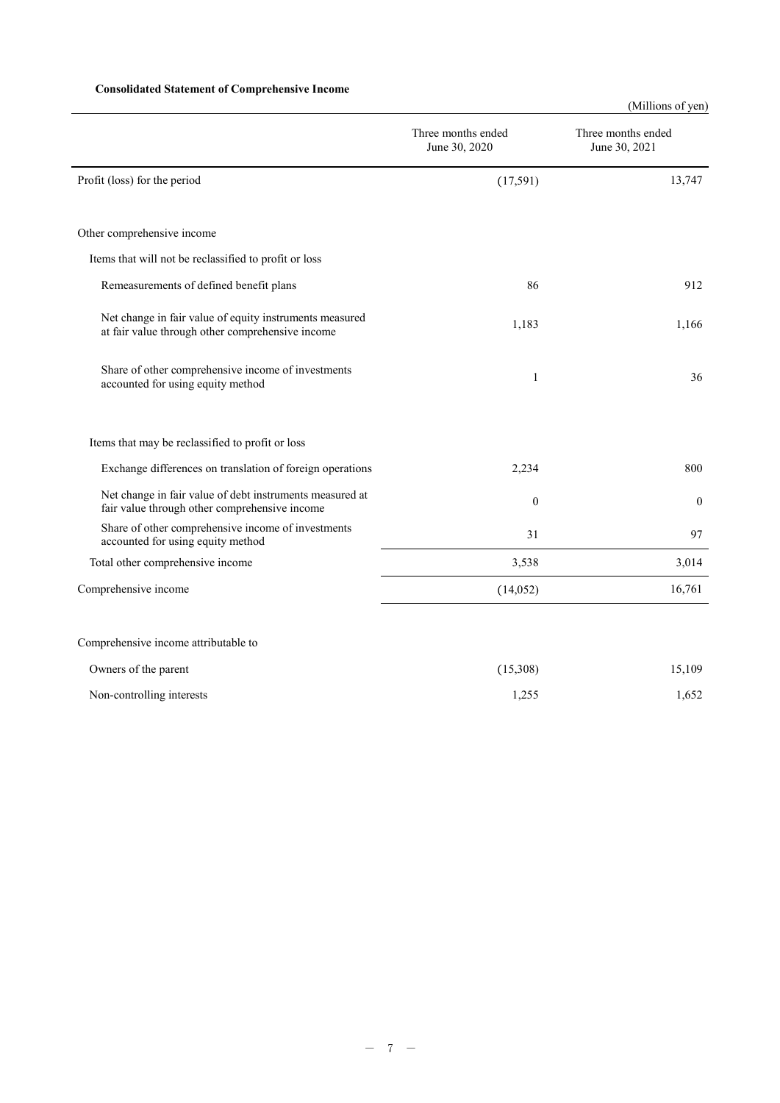## **Consolidated Statement of Comprehensive Income**

(Millions of yen)

|                                                                                                             | Three months ended<br>June 30, 2020 | Three months ended<br>June 30, 2021 |
|-------------------------------------------------------------------------------------------------------------|-------------------------------------|-------------------------------------|
| Profit (loss) for the period                                                                                | (17,591)                            | 13,747                              |
| Other comprehensive income                                                                                  |                                     |                                     |
| Items that will not be reclassified to profit or loss                                                       |                                     |                                     |
| Remeasurements of defined benefit plans                                                                     | 86                                  | 912                                 |
| Net change in fair value of equity instruments measured<br>at fair value through other comprehensive income | 1,183                               | 1,166                               |
| Share of other comprehensive income of investments<br>accounted for using equity method                     | 1                                   | 36                                  |
| Items that may be reclassified to profit or loss                                                            |                                     |                                     |
| Exchange differences on translation of foreign operations                                                   | 2,234                               | 800                                 |
| Net change in fair value of debt instruments measured at<br>fair value through other comprehensive income   | $\boldsymbol{0}$                    | $\mathbf{0}$                        |
| Share of other comprehensive income of investments<br>accounted for using equity method                     | 31                                  | 97                                  |
| Total other comprehensive income                                                                            | 3,538                               | 3,014                               |
| Comprehensive income                                                                                        | (14,052)                            | 16,761                              |
| Comprehensive income attributable to                                                                        |                                     |                                     |
| Owners of the parent                                                                                        | (15,308)                            | 15,109                              |
| Non-controlling interests                                                                                   | 1,255                               | 1,652                               |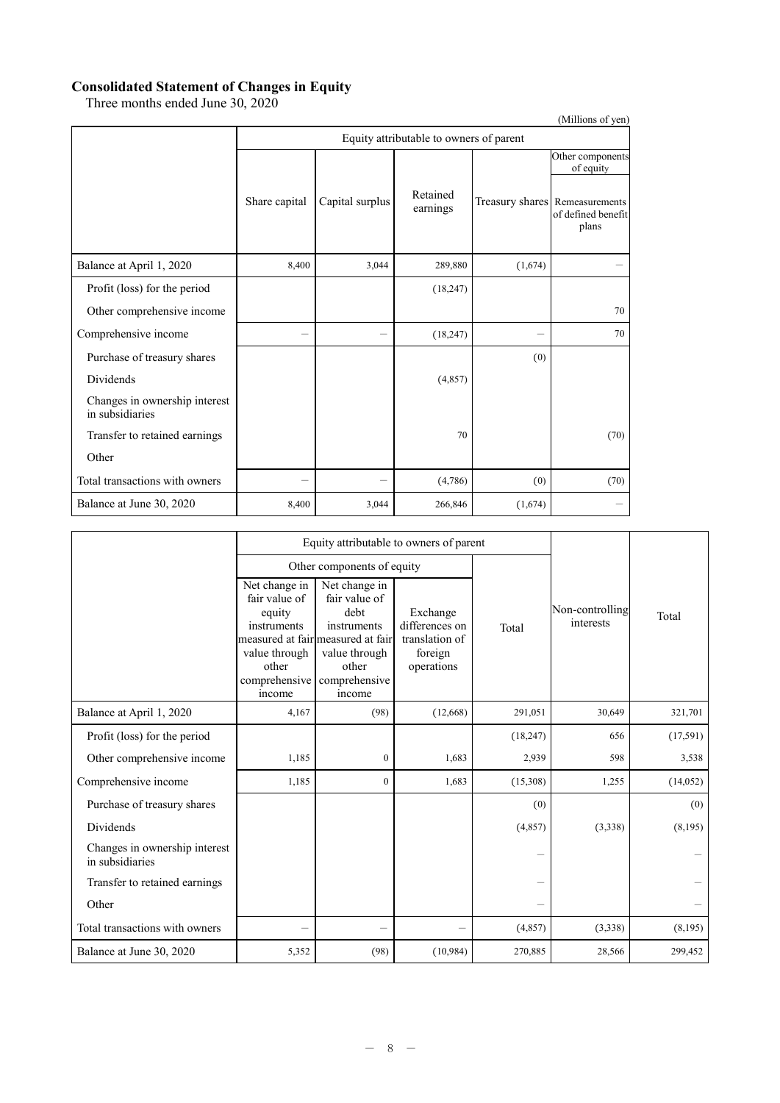#### **Consolidated Statement of Changes in Equity**

Three months ended June 30, 2020

|                                                  |                                         |                 |                      |         | (Millions of yen)                                             |  |  |  |  |
|--------------------------------------------------|-----------------------------------------|-----------------|----------------------|---------|---------------------------------------------------------------|--|--|--|--|
|                                                  | Equity attributable to owners of parent |                 |                      |         |                                                               |  |  |  |  |
|                                                  |                                         |                 |                      |         | Other components<br>of equity                                 |  |  |  |  |
|                                                  | Share capital                           | Capital surplus | Retained<br>earnings |         | Treasury shares Remeasurements<br>of defined benefit<br>plans |  |  |  |  |
| Balance at April 1, 2020                         | 8,400                                   | 3,044           | 289,880              | (1,674) |                                                               |  |  |  |  |
| Profit (loss) for the period                     |                                         |                 | (18, 247)            |         |                                                               |  |  |  |  |
| Other comprehensive income                       |                                         |                 |                      |         | 70                                                            |  |  |  |  |
| Comprehensive income                             |                                         |                 | (18, 247)            |         | 70                                                            |  |  |  |  |
| Purchase of treasury shares                      |                                         |                 |                      | (0)     |                                                               |  |  |  |  |
| Dividends                                        |                                         |                 | (4,857)              |         |                                                               |  |  |  |  |
| Changes in ownership interest<br>in subsidiaries |                                         |                 |                      |         |                                                               |  |  |  |  |
| Transfer to retained earnings                    |                                         |                 | 70                   |         | (70)                                                          |  |  |  |  |
| Other                                            |                                         |                 |                      |         |                                                               |  |  |  |  |
| Total transactions with owners                   |                                         |                 | (4,786)              | (0)     | (70)                                                          |  |  |  |  |
| Balance at June 30, 2020                         | 8,400                                   | 3,044           | 266,846              | (1,674) |                                                               |  |  |  |  |

|                                                  |                                                                                                              | Equity attributable to owners of parent                                                                                                         |                                                                       |           |                              |          |
|--------------------------------------------------|--------------------------------------------------------------------------------------------------------------|-------------------------------------------------------------------------------------------------------------------------------------------------|-----------------------------------------------------------------------|-----------|------------------------------|----------|
|                                                  |                                                                                                              | Other components of equity                                                                                                                      |                                                                       |           |                              |          |
|                                                  | Net change in<br>fair value of<br>equity<br>instruments<br>value through<br>other<br>comprehensive<br>income | Net change in<br>fair value of<br>debt<br>instruments<br>measured at fair measured at fair<br>value through<br>other<br>comprehensive<br>income | Exchange<br>differences on<br>translation of<br>foreign<br>operations | Total     | Non-controlling<br>interests | Total    |
| Balance at April 1, 2020                         | 4,167                                                                                                        | (98)                                                                                                                                            | (12,668)                                                              | 291,051   | 30,649                       | 321,701  |
| Profit (loss) for the period                     |                                                                                                              |                                                                                                                                                 |                                                                       | (18, 247) | 656                          | (17,591) |
| Other comprehensive income                       | 1,185                                                                                                        | $\overline{0}$                                                                                                                                  | 1,683                                                                 | 2,939     | 598                          | 3,538    |
| Comprehensive income                             | 1,185                                                                                                        | $\mathbf{0}$                                                                                                                                    | 1,683                                                                 | (15,308)  | 1,255                        | (14,052) |
| Purchase of treasury shares                      |                                                                                                              |                                                                                                                                                 |                                                                       | (0)       |                              | (0)      |
| Dividends                                        |                                                                                                              |                                                                                                                                                 |                                                                       | (4,857)   | (3,338)                      | (8,195)  |
| Changes in ownership interest<br>in subsidiaries |                                                                                                              |                                                                                                                                                 |                                                                       |           |                              |          |
| Transfer to retained earnings                    |                                                                                                              |                                                                                                                                                 |                                                                       |           |                              |          |
| Other                                            |                                                                                                              |                                                                                                                                                 |                                                                       |           |                              |          |
| Total transactions with owners                   |                                                                                                              | $\overline{\phantom{0}}$                                                                                                                        |                                                                       | (4, 857)  | (3,338)                      | (8,195)  |
| Balance at June 30, 2020                         | 5,352                                                                                                        | (98)                                                                                                                                            | (10, 984)                                                             | 270,885   | 28,566                       | 299,452  |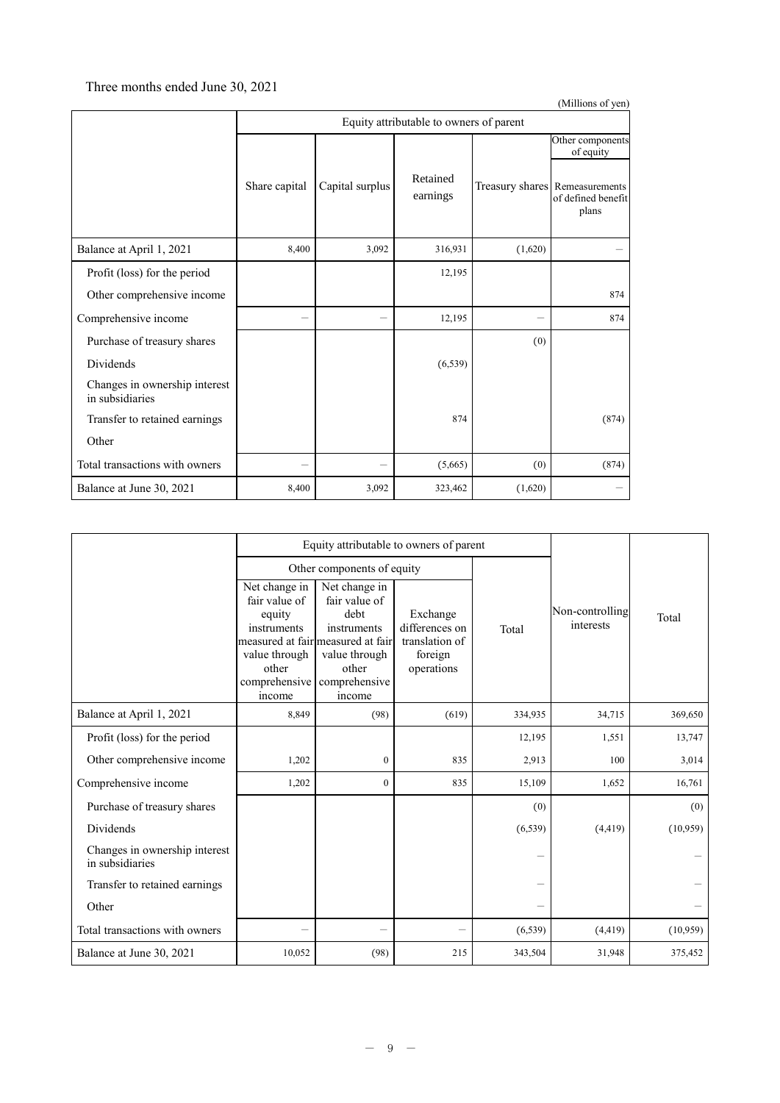## Three months ended June 30, 2021

|                                                  |                                         |                 |                      |         | (Millions of yen)                                             |  |  |  |
|--------------------------------------------------|-----------------------------------------|-----------------|----------------------|---------|---------------------------------------------------------------|--|--|--|
|                                                  | Equity attributable to owners of parent |                 |                      |         |                                                               |  |  |  |
|                                                  |                                         |                 |                      |         | Other components<br>of equity                                 |  |  |  |
|                                                  | Share capital                           | Capital surplus | Retained<br>earnings |         | Treasury shares Remeasurements<br>of defined benefit<br>plans |  |  |  |
| Balance at April 1, 2021                         | 8,400                                   | 3,092           | 316,931              | (1,620) |                                                               |  |  |  |
| Profit (loss) for the period                     |                                         |                 | 12,195               |         |                                                               |  |  |  |
| Other comprehensive income                       |                                         |                 |                      |         | 874                                                           |  |  |  |
| Comprehensive income                             |                                         |                 | 12,195               |         | 874                                                           |  |  |  |
| Purchase of treasury shares                      |                                         |                 |                      | (0)     |                                                               |  |  |  |
| Dividends                                        |                                         |                 | (6, 539)             |         |                                                               |  |  |  |
| Changes in ownership interest<br>in subsidiaries |                                         |                 |                      |         |                                                               |  |  |  |
| Transfer to retained earnings                    |                                         |                 | 874                  |         | (874)                                                         |  |  |  |
| Other                                            |                                         |                 |                      |         |                                                               |  |  |  |
| Total transactions with owners                   |                                         |                 | (5,665)              | (0)     | (874)                                                         |  |  |  |
| Balance at June 30, 2021                         | 8,400                                   | 3,092           | 323,462              | (1,620) |                                                               |  |  |  |

|                                                  |                                                                                                              | Equity attributable to owners of parent                                                                                                         |                                                                       |          |                              |          |
|--------------------------------------------------|--------------------------------------------------------------------------------------------------------------|-------------------------------------------------------------------------------------------------------------------------------------------------|-----------------------------------------------------------------------|----------|------------------------------|----------|
|                                                  |                                                                                                              | Other components of equity                                                                                                                      |                                                                       |          |                              |          |
|                                                  | Net change in<br>fair value of<br>equity<br>instruments<br>value through<br>other<br>comprehensive<br>income | Net change in<br>fair value of<br>debt<br>instruments<br>measured at fair measured at fair<br>value through<br>other<br>comprehensive<br>income | Exchange<br>differences on<br>translation of<br>foreign<br>operations | Total    | Non-controlling<br>interests | Total    |
| Balance at April 1, 2021                         | 8,849                                                                                                        | (98)                                                                                                                                            | (619)                                                                 | 334,935  | 34,715                       | 369,650  |
| Profit (loss) for the period                     |                                                                                                              |                                                                                                                                                 |                                                                       | 12,195   | 1,551                        | 13,747   |
| Other comprehensive income                       | 1,202                                                                                                        | $\mathbf{0}$                                                                                                                                    | 835                                                                   | 2,913    | 100                          | 3,014    |
| Comprehensive income                             | 1,202                                                                                                        | $\mathbf{0}$                                                                                                                                    | 835                                                                   | 15,109   | 1,652                        | 16,761   |
| Purchase of treasury shares                      |                                                                                                              |                                                                                                                                                 |                                                                       | (0)      |                              | (0)      |
| <b>Dividends</b>                                 |                                                                                                              |                                                                                                                                                 |                                                                       | (6, 539) | (4, 419)                     | (10,959) |
| Changes in ownership interest<br>in subsidiaries |                                                                                                              |                                                                                                                                                 |                                                                       |          |                              |          |
| Transfer to retained earnings                    |                                                                                                              |                                                                                                                                                 |                                                                       |          |                              |          |
| Other                                            |                                                                                                              |                                                                                                                                                 |                                                                       |          |                              |          |
| Total transactions with owners                   |                                                                                                              | -                                                                                                                                               |                                                                       | (6, 539) | (4, 419)                     | (10,959) |
| Balance at June 30, 2021                         | 10,052                                                                                                       | (98)                                                                                                                                            | 215                                                                   | 343,504  | 31,948                       | 375,452  |